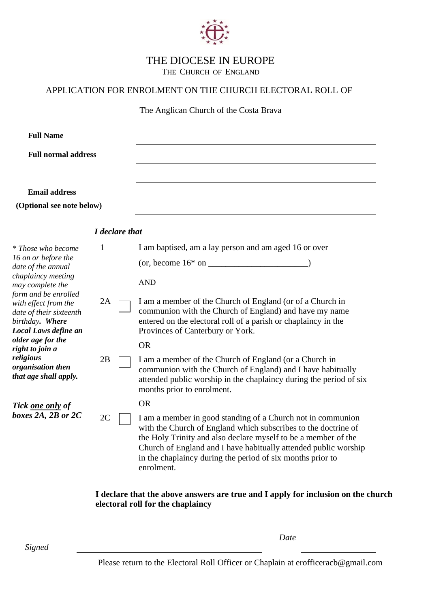

## THE DIOCESE IN EUROPE

THE CHURCH OF ENGLAND

## APPLICATION FOR ENROLMENT ON THE CHURCH ELECTORAL ROLL OF

The Anglican Church of the Costa Brava

| <b>Full Name</b>           |  |  |
|----------------------------|--|--|
| <b>Full normal address</b> |  |  |
|                            |  |  |
| <b>Email address</b>       |  |  |
| (Optional see note below)  |  |  |

## *I declare that*

| <i>* Those who become</i><br>16 on or before the<br>date of the annual<br>chaplaincy meeting<br>may complete the<br>form and be enrolled<br>with effect from the<br>date of their sixteenth<br>birthday. Where<br>Local Laws define an<br>older age for the<br>right to join a<br>religious<br>organisation then<br>that age shall apply. | 1  | I am baptised, am a lay person and am aged 16 or over<br>(or, become $16^*$ on $\_\_\_\_\_\_\_\_\_\_\_\_\_\_\_\_\_\_\_\_\_\_\_\_\_\_\_\_\_\_\_$                                                                                                                                                                                                |
|-------------------------------------------------------------------------------------------------------------------------------------------------------------------------------------------------------------------------------------------------------------------------------------------------------------------------------------------|----|------------------------------------------------------------------------------------------------------------------------------------------------------------------------------------------------------------------------------------------------------------------------------------------------------------------------------------------------|
|                                                                                                                                                                                                                                                                                                                                           | 2A | <b>AND</b><br>I am a member of the Church of England (or of a Church in<br>communion with the Church of England) and have my name<br>entered on the electoral roll of a parish or chaplaincy in the<br>Provinces of Canterbury or York.                                                                                                        |
|                                                                                                                                                                                                                                                                                                                                           |    | <b>OR</b>                                                                                                                                                                                                                                                                                                                                      |
|                                                                                                                                                                                                                                                                                                                                           | 2B | I am a member of the Church of England (or a Church in<br>communion with the Church of England) and I have habitually<br>attended public worship in the chaplaincy during the period of six<br>months prior to enrolment.                                                                                                                      |
| Tick <u>one only</u> of<br>boxes 2A, 2B or $2C$                                                                                                                                                                                                                                                                                           |    | <b>OR</b>                                                                                                                                                                                                                                                                                                                                      |
|                                                                                                                                                                                                                                                                                                                                           | 2C | I am a member in good standing of a Church not in communion<br>with the Church of England which subscribes to the doctrine of<br>the Holy Trinity and also declare myself to be a member of the<br>Church of England and I have habitually attended public worship<br>in the chaplaincy during the period of six months prior to<br>enrolment. |
|                                                                                                                                                                                                                                                                                                                                           |    | I declare that the above answers are true and I apply for inclusion on the church<br>electoral roll for the chaplaincy                                                                                                                                                                                                                         |

*Signed*

*Date*